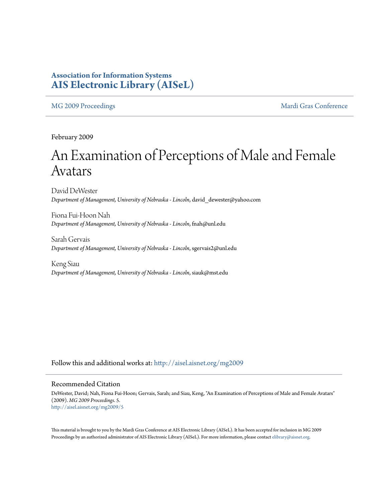### **Association for Information Systems [AIS Electronic Library \(AISeL\)](http://aisel.aisnet.org?utm_source=aisel.aisnet.org%2Fmg2009%2F5&utm_medium=PDF&utm_campaign=PDFCoverPages)**

[MG 2009 Proceedings](http://aisel.aisnet.org/mg2009?utm_source=aisel.aisnet.org%2Fmg2009%2F5&utm_medium=PDF&utm_campaign=PDFCoverPages) and the [Mardi Gras Conference](http://aisel.aisnet.org/mg?utm_source=aisel.aisnet.org%2Fmg2009%2F5&utm_medium=PDF&utm_campaign=PDFCoverPages)

February 2009

# An Examination of Perceptions of Male and Female Avatars

David DeWester *Department of Management, University of Nebraska - Lincoln*, david\_dewester@yahoo.com

Fiona Fui-Hoon Nah *Department of Management, University of Nebraska - Lincoln*, fnah@unl.edu

Sarah Gervais *Department of Management, University of Nebraska - Lincoln*, sgervais2@unl.edu

Keng Siau *Department of Management, University of Nebraska - Lincoln*, siauk@mst.edu

Follow this and additional works at: [http://aisel.aisnet.org/mg2009](http://aisel.aisnet.org/mg2009?utm_source=aisel.aisnet.org%2Fmg2009%2F5&utm_medium=PDF&utm_campaign=PDFCoverPages)

#### Recommended Citation

DeWester, David; Nah, Fiona Fui-Hoon; Gervais, Sarah; and Siau, Keng, "An Examination of Perceptions of Male and Female Avatars" (2009). *MG 2009 Proceedings*. 5. [http://aisel.aisnet.org/mg2009/5](http://aisel.aisnet.org/mg2009/5?utm_source=aisel.aisnet.org%2Fmg2009%2F5&utm_medium=PDF&utm_campaign=PDFCoverPages)

This material is brought to you by the Mardi Gras Conference at AIS Electronic Library (AISeL). It has been accepted for inclusion in MG 2009 Proceedings by an authorized administrator of AIS Electronic Library (AISeL). For more information, please contact [elibrary@aisnet.org](mailto:elibrary@aisnet.org%3E).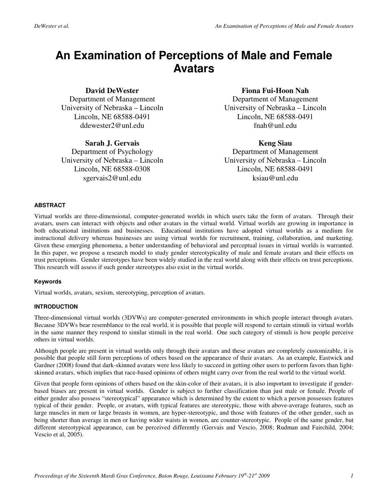## **An Examination of Perceptions of Male and Female Avatars**

#### **David DeWester**

Department of Management University of Nebraska – Lincoln Lincoln, NE 68588-0491 ddewester2@unl.edu

#### **Sarah J. Gervais**

Department of Psychology University of Nebraska – Lincoln Lincoln, NE 68588-0308 sgervais2@unl.edu

#### **Fiona Fui-Hoon Nah**

Department of Management University of Nebraska – Lincoln Lincoln, NE 68588-0491 fnah@unl.edu

#### **Keng Siau**

Department of Management University of Nebraska – Lincoln Lincoln, NE 68588-0491 ksiau@unl.edu

#### **ABSTRACT**

Virtual worlds are three-dimensional, computer-generated worlds in which users take the form of avatars. Through their avatars, users can interact with objects and other avatars in the virtual world. Virtual worlds are growing in importance in both educational institutions and businesses. Educational institutions have adopted virtual worlds as a medium for instructional delivery whereas businesses are using virtual worlds for recruitment, training, collaboration, and marketing. Given these emerging phenomena, a better understanding of behavioral and perceptual issues in virtual worlds is warranted. In this paper, we propose a research model to study gender stereotypicality of male and female avatars and their effects on trust perceptions. Gender stereotypes have been widely studied in the real world along with their effects on trust perceptions. This research will assess if such gender stereotypes also exist in the virtual worlds.

#### **Keywords**

Virtual worlds, avatars, sexism, stereotyping, perception of avatars.

#### **INTRODUCTION**

Three-dimensional virtual worlds (3DVWs) are computer-generated environments in which people interact through avatars. Because 3DVWs bear resemblance to the real world, it is possible that people will respond to certain stimuli in virtual worlds in the same manner they respond to similar stimuli in the real world. One such category of stimuli is how people perceive others in virtual worlds.

Although people are present in virtual worlds only through their avatars and these avatars are completely customizable, it is possible that people still form perceptions of others based on the appearance of their avatars. As an example, Eastwick and Gardner (2008) found that dark-skinned avatars were less likely to succeed in getting other users to perform favors than lightskinned avatars, which implies that race-based opinions of others might carry over from the real world to the virtual world.

Given that people form opinions of others based on the skin-color of their avatars, it is also important to investigate if genderbased biases are present in virtual worlds. Gender is subject to further classification than just male or female. People of either gender also possess "stereotypical" appearance which is determined by the extent to which a person possesses features typical of their gender. People, or avatars, with typical features are stereotypic, those with above-average features, such as large muscles in men or large breasts in women, are hyper-stereotypic, and those with features of the other gender, such as being shorter than average in men or having wider waists in women, are counter-stereotypic. People of the same gender, but different stereotypical appearance, can be perceived differently (Gervais and Vescio, 2008; Rudman and Fairchild, 2004; Vescio et al, 2005).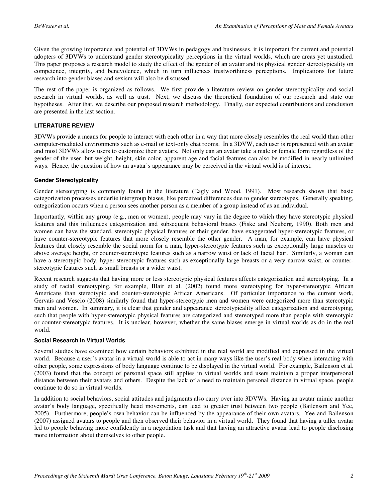Given the growing importance and potential of 3DVWs in pedagogy and businesses, it is important for current and potential adopters of 3DVWs to understand gender stereotypicality perceptions in the virtual worlds, which are areas yet unstudied. This paper proposes a research model to study the effect of the gender of an avatar and its physical gender stereotypicality on competence, integrity, and benevolence, which in turn influences trustworthiness perceptions. Implications for future research into gender biases and sexism will also be discussed.

The rest of the paper is organized as follows. We first provide a literature review on gender stereotypicality and social research in virtual worlds, as well as trust. Next, we discuss the theoretical foundation of our research and state our hypotheses. After that, we describe our proposed research methodology. Finally, our expected contributions and conclusion are presented in the last section.

#### **LITERATURE REVIEW**

3DVWs provide a means for people to interact with each other in a way that more closely resembles the real world than other computer-mediated environments such as e-mail or text-only chat rooms. In a 3DVW, each user is represented with an avatar and most 3DVWs allow users to customize their avatars. Not only can an avatar take a male or female form regardless of the gender of the user, but weight, height, skin color, apparent age and facial features can also be modified in nearly unlimited ways. Hence, the question of how an avatar's appearance may be perceived in the virtual world is of interest.

#### **Gender Stereotypicality**

Gender stereotyping is commonly found in the literature (Eagly and Wood, 1991). Most research shows that basic categorization processes underlie intergroup biases, like perceived differences due to gender stereotypes. Generally speaking, categorization occurs when a person sees another person as a member of a group instead of as an individual.

Importantly, within any group (e.g., men or women), people may vary in the degree to which they have stereotypic physical features and this influences categorization and subsequent behavioral biases (Fiske and Neuberg, 1990). Both men and women can have the standard, stereotypic physical features of their gender, have exaggerated hyper-stereotypic features, or have counter-stereotypic features that more closely resemble the other gender. A man, for example, can have physical features that closely resemble the social norm for a man, hyper-stereotypic features such as exceptionally large muscles or above average height, or counter-stereotypic features such as a narrow waist or lack of facial hair. Similarly, a woman can have a stereotypic body, hyper-stereotypic features such as exceptionally large breasts or a very narrow waist, or counterstereotypic features such as small breasts or a wider waist.

Recent research suggests that having more or less stereotypic physical features affects categorization and stereotyping. In a study of racial stereotyping, for example, Blair et al. (2002) found more stereotyping for hyper-stereotypic African Americans than stereotypic and counter-stereotypic African Americans. Of particular importance to the current work, Gervais and Vescio (2008) similarly found that hyper-stereotypic men and women were categorized more than stereotypic men and women. In summary, it is clear that gender and appearance stereotypicality affect categorization and stereotyping, such that people with hyper-stereotypic physical features are categorized and stereotyped more than people with stereotypic or counter-stereotypic features. It is unclear, however, whether the same biases emerge in virtual worlds as do in the real world.

#### **Social Research in Virtual Worlds**

Several studies have examined how certain behaviors exhibited in the real world are modified and expressed in the virtual world. Because a user's avatar in a virtual world is able to act in many ways like the user's real body when interacting with other people, some expressions of body language continue to be displayed in the virtual world. For example, Bailenson et al. (2003) found that the concept of personal space still applies in virtual worlds and users maintain a proper interpersonal distance between their avatars and others. Despite the lack of a need to maintain personal distance in virtual space, people continue to do so in virtual worlds.

In addition to social behaviors, social attitudes and judgments also carry over into 3DVWs. Having an avatar mimic another avatar's body language, specifically head movements, can lead to greater trust between two people (Bailenson and Yee, 2005). Furthermore, people's own behavior can be influenced by the appearance of their own avatars. Yee and Bailenson (2007) assigned avatars to people and then observed their behavior in a virtual world. They found that having a taller avatar led to people behaving more confidently in a negotiation task and that having an attractive avatar lead to people disclosing more information about themselves to other people.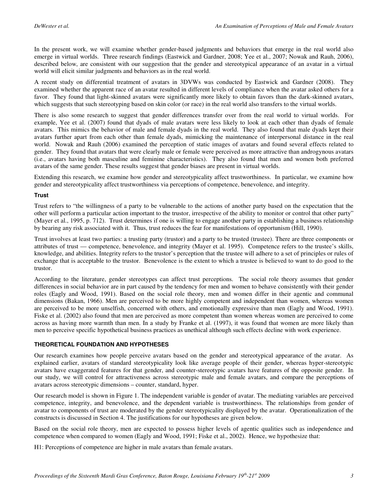In the present work, we will examine whether gender-based judgments and behaviors that emerge in the real world also emerge in virtual worlds. Three research findings (Eastwick and Gardner, 2008; Yee et al., 2007; Nowak and Rauh, 2006), described below, are consistent with our suggestion that the gender and stereotypical appearance of an avatar in a virtual world will elicit similar judgments and behaviors as in the real world.

A recent study on differential treatment of avatars in 3DVWs was conducted by Eastwick and Gardner (2008). They examined whether the apparent race of an avatar resulted in different levels of compliance when the avatar asked others for a favor. They found that light-skinned avatars were significantly more likely to obtain favors than the dark-skinned avatars, which suggests that such stereotyping based on skin color (or race) in the real world also transfers to the virtual worlds.

There is also some research to suggest that gender differences transfer over from the real world to virtual worlds. For example, Yee et al. (2007) found that dyads of male avatars were less likely to look at each other than dyads of female avatars. This mimics the behavior of male and female dyads in the real world. They also found that male dyads kept their avatars further apart from each other than female dyads, mimicking the maintenance of interpersonal distance in the real world. Nowak and Rauh (2006) examined the perception of static images of avatars and found several effects related to gender. They found that avatars that were clearly male or female were perceived as more attractive than androgynous avatars (i.e., avatars having both masculine and feminine characteristics). They also found that men and women both preferred avatars of the same gender. These results suggest that gender biases are present in virtual worlds.

Extending this research, we examine how gender and stereotypicality affect trustworthiness. In particular, we examine how gender and stereotypicality affect trustworthiness via perceptions of competence, benevolence, and integrity.

#### **Trust**

Trust refers to "the willingness of a party to be vulnerable to the actions of another party based on the expectation that the other will perform a particular action important to the trustor, irrespective of the ability to monitor or control that other party" (Mayer et al., 1995, p. 712). Trust determines if one is willing to engage another party in establishing a business relationship by bearing any risk associated with it. Thus, trust reduces the fear for manifestations of opportunism (Hill, 1990).

Trust involves at least two parties: a trusting party (trustor) and a party to be trusted (trustee). There are three components or attributes of trust — competence, benevolence, and integrity (Mayer et al. 1995). Competence refers to the trustee's skills, knowledge, and abilities. Integrity refers to the trustor's perception that the trustee will adhere to a set of principles or rules of exchange that is acceptable to the trustor. Benevolence is the extent to which a trustee is believed to want to do good to the trustor.

According to the literature, gender stereotypes can affect trust perceptions. The social role theory assumes that gender differences in social behavior are in part caused by the tendency for men and women to behave consistently with their gender roles (Eagly and Wood, 1991). Based on the social role theory, men and women differ in their agentic and communal dimensions (Bakan, 1966). Men are perceived to be more highly competent and independent than women, whereas women are perceived to be more unselfish, concerned with others, and emotionally expressive than men (Eagly and Wood, 1991). Fiske et al. (2002) also found that men are perceived as more competent than women whereas women are perceived to come across as having more warmth than men. In a study by Franke et al. (1997), it was found that women are more likely than men to perceive specific hypothetical business practices as unethical although such effects decline with work experience.

#### **THEORETICAL FOUNDATION AND HYPOTHESES**

Our research examines how people perceive avatars based on the gender and stereotypical appearance of the avatar. As explained earlier, avatars of standard stereotypicality look like average people of their gender, whereas hyper-stereotypic avatars have exaggerated features for that gender, and counter-stereotypic avatars have features of the opposite gender. In our study, we will control for attractiveness across stereotypic male and female avatars, and compare the perceptions of avatars across stereotypic dimensions – counter, standard, hyper.

Our research model is shown in Figure 1. The independent variable is gender of avatar. The mediating variables are perceived competence, integrity, and benevolence, and the dependent variable is trustworthiness. The relationships from gender of avatar to components of trust are moderated by the gender stereotypicality displayed by the avatar. Operationalization of the constructs is discussed in Section 4. The justifications for our hypotheses are given below.

Based on the social role theory, men are expected to possess higher levels of agentic qualities such as independence and competence when compared to women (Eagly and Wood, 1991; Fiske et al., 2002). Hence, we hypothesize that:

H1: Perceptions of competence are higher in male avatars than female avatars.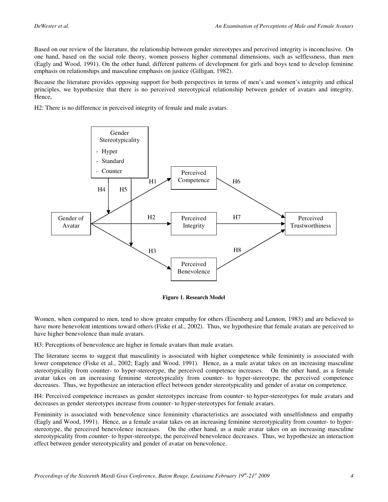Based on our review of the literature, the relationship between gender stereotypes and perceived integrity is inconclusive. On one hand, based on the social role theory, women possess higher communal dimensions, such as selflessness, than men (Eagly and Wood, 1991). On the other hand, different patterns of development for girls and boys tend to develop feminine emphasis on relationships and masculine emphasis on justice (Gilligan, 1982).

Because the literature provides opposing support for both perspectives in terms of men's and women's integrity and ethical principles, we hypothesize that there is no perceived stereotypical relationship between gender of avatars and integrity. Hence,

H2: There is no difference in perceived integrity of female and male avatars.



**Figure 1. Research Model** 

Women, when compared to men, tend to show greater empathy for others (Eisenberg and Lennon, 1983) and are believed to have more benevolent intentions toward others (Fiske et al., 2002). Thus, we hypothesize that female avatars are perceived to have higher benevolence than male avatars.

H3: Perceptions of benevolence are higher in female avatars than male avatars.

The literature seems to suggest that masculinity is associated with higher competence while femininity is associated with lower competence (Fiske et al., 2002; Eagly and Wood, 1991). Hence, as a male avatar takes on an increasing masculine stereotypicality from counter- to hyper-stereotype, the perceived competence increases. On the other hand, as a female avatar takes on an increasing feminine stereotypicality from counter- to hyper-stereotype, the perceived competence decreases. Thus, we hypothesize an interaction effect between gender stereotypicality and gender of avatar on competence.

H4: Perceived competence increases as gender stereotypes increase from counter- to hyper-stereotypes for male avatars and decreases as gender stereotypes increase from counter- to hyper-stereotypes for female avatars.

Femininity is associated with benevolence since femininity characteristics are associated with unselfishness and empathy (Eagly and Wood, 1991). Hence, as a female avatar takes on an increasing feminine stereotypicality from counter- to hyperstereotype, the perceived benevolence increases. On the other hand, as a male avatar takes on an increasing masculine stereotypicality from counter- to hyper-stereotype, the perceived benevolence decreases. Thus, we hypothesize an interaction effect between gender stereotypicality and gender of avatar on benevolence.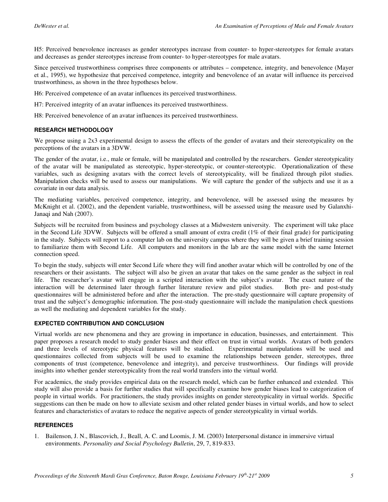H5: Perceived benevolence increases as gender stereotypes increase from counter- to hyper-stereotypes for female avatars and decreases as gender stereotypes increase from counter- to hyper-stereotypes for male avatars.

Since perceived trustworthiness comprises three components or attributes – competence, integrity, and benevolence (Mayer et al., 1995), we hypothesize that perceived competence, integrity and benevolence of an avatar will influence its perceived trustworthiness, as shown in the three hypotheses below.

H6: Perceived competence of an avatar influences its perceived trustworthiness.

H7: Perceived integrity of an avatar influences its perceived trustworthiness.

H8: Perceived benevolence of an avatar influences its perceived trustworthiness.

#### **RESEARCH METHODOLOGY**

We propose using a 2x3 experimental design to assess the effects of the gender of avatars and their stereotypicality on the perceptions of the avatars in a 3DVW.

The gender of the avatar, i.e., male or female, will be manipulated and controlled by the researchers. Gender stereotypicality of the avatar will be manipulated as stereotypic, hyper-stereotypic, or counter-stereotypic. Operationalization of these variables, such as designing avatars with the correct levels of stereotypicality, will be finalized through pilot studies. Manipulation checks will be used to assess our manipulations. We will capture the gender of the subjects and use it as a covariate in our data analysis.

The mediating variables, perceived competence, integrity, and benevolence, will be assessed using the measures by McKnight et al. (2002), and the dependent variable, trustworthiness, will be assessed using the measure used by Galanxhi-Janaqi and Nah (2007).

Subjects will be recruited from business and psychology classes at a Midwestern university. The experiment will take place in the Second Life 3DVW. Subjects will be offered a small amount of extra credit  $(1\%$  of their final grade) for participating in the study. Subjects will report to a computer lab on the university campus where they will be given a brief training session to familiarize them with Second Life. All computers and monitors in the lab are the same model with the same Internet connection speed.

To begin the study, subjects will enter Second Life where they will find another avatar which will be controlled by one of the researchers or their assistants. The subject will also be given an avatar that takes on the same gender as the subject in real life. The researcher's avatar will engage in a scripted interaction with the subject's avatar. The exact nature of the interaction will be determined later through further literature review and pilot studies. Both pre- and post-study questionnaires will be administered before and after the interaction. The pre-study questionnaire will capture propensity of trust and the subject's demographic information. The post-study questionnaire will include the manipulation check questions as well the mediating and dependent variables for the study.

#### **EXPECTED CONTRIBUTION AND CONCLUSION**

Virtual worlds are new phenomena and they are growing in importance in education, businesses, and entertainment. This paper proposes a research model to study gender biases and their effect on trust in virtual worlds. Avatars of both genders and three levels of stereotypic physical features will be studied. Experimental manipulations will and three levels of stereotypic physical features will be studied. questionnaires collected from subjects will be used to examine the relationships between gender, stereotypes, three components of trust (competence, benevolence and integrity), and perceive trustworthiness. Our findings will provide insights into whether gender stereotypicality from the real world transfers into the virtual world.

For academics, the study provides empirical data on the research model, which can be further enhanced and extended. This study will also provide a basis for further studies that will specifically examine how gender biases lead to categorization of people in virtual worlds. For practitioners, the study provides insights on gender stereotypicality in virtual worlds. Specific suggestions can then be made on how to alleviate sexism and other related gender biases in virtual worlds, and how to select features and characteristics of avatars to reduce the negative aspects of gender stereotypicality in virtual worlds.

#### **REFERENCES**

1. Bailenson, J. N., Blascovich, J., Beall, A. C. and Loomis, J. M. (2003) Interpersonal distance in immersive virtual environments. *Personality and Social Psychology Bulletin*, 29, 7, 819-833.